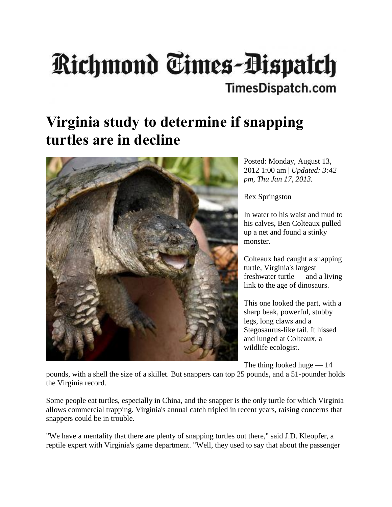## **Richmond Times-Dispatch TimesDispatch.com**

## **Virginia study to determine if snapping turtles are in decline**



Posted: Monday, August 13, 2012 1:00 am | *Updated: 3:42 pm, Thu Jan 17, 2013.* 

Rex Springston

In water to his waist and mud to his calves, Ben Colteaux pulled up a net and found a stinky monster.

Colteaux had caught a snapping turtle, Virginia's largest freshwater turtle — and a living link to the age of dinosaurs.

This one looked the part, with a sharp beak, powerful, stubby legs, long claws and a Stegosaurus-like tail. It hissed and lunged at Colteaux, a wildlife ecologist.

The thing looked huge — 14

pounds, with a shell the size of a skillet. But snappers can top 25 pounds, and a 51-pounder holds the Virginia record.

Some people eat turtles, especially in China, and the snapper is the only turtle for which Virginia allows commercial trapping. Virginia's annual catch tripled in recent years, raising concerns that snappers could be in trouble.

"We have a mentality that there are plenty of snapping turtles out there," said J.D. Kleopfer, a reptile expert with Virginia's game department. "Well, they used to say that about the passenger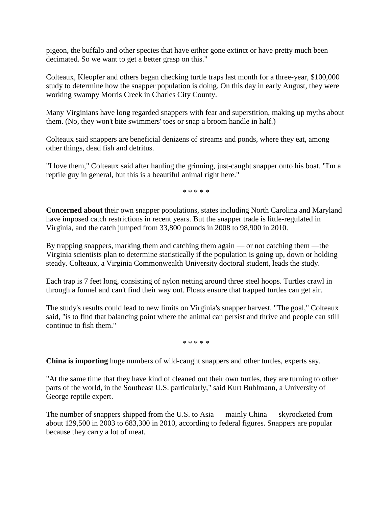pigeon, the buffalo and other species that have either gone extinct or have pretty much been decimated. So we want to get a better grasp on this."

Colteaux, Kleopfer and others began checking turtle traps last month for a three-year, \$100,000 study to determine how the snapper population is doing. On this day in early August, they were working swampy Morris Creek in Charles City County.

Many Virginians have long regarded snappers with fear and superstition, making up myths about them. (No, they won't bite swimmers' toes or snap a broom handle in half.)

Colteaux said snappers are beneficial denizens of streams and ponds, where they eat, among other things, dead fish and detritus.

"I love them," Colteaux said after hauling the grinning, just-caught snapper onto his boat. "I'm a reptile guy in general, but this is a beautiful animal right here."

\* \* \* \* \*

**Concerned about** their own snapper populations, states including North Carolina and Maryland have imposed catch restrictions in recent years. But the snapper trade is little-regulated in Virginia, and the catch jumped from 33,800 pounds in 2008 to 98,900 in 2010.

By trapping snappers, marking them and catching them again — or not catching them —the Virginia scientists plan to determine statistically if the population is going up, down or holding steady. Colteaux, a Virginia Commonwealth University doctoral student, leads the study.

Each trap is 7 feet long, consisting of nylon netting around three steel hoops. Turtles crawl in through a funnel and can't find their way out. Floats ensure that trapped turtles can get air.

The study's results could lead to new limits on Virginia's snapper harvest. "The goal," Colteaux said, "is to find that balancing point where the animal can persist and thrive and people can still continue to fish them."

\* \* \* \* \*

**China is importing** huge numbers of wild-caught snappers and other turtles, experts say.

"At the same time that they have kind of cleaned out their own turtles, they are turning to other parts of the world, in the Southeast U.S. particularly," said Kurt Buhlmann, a University of George reptile expert.

The number of snappers shipped from the U.S. to Asia — mainly China — skyrocketed from about 129,500 in 2003 to 683,300 in 2010, according to federal figures. Snappers are popular because they carry a lot of meat.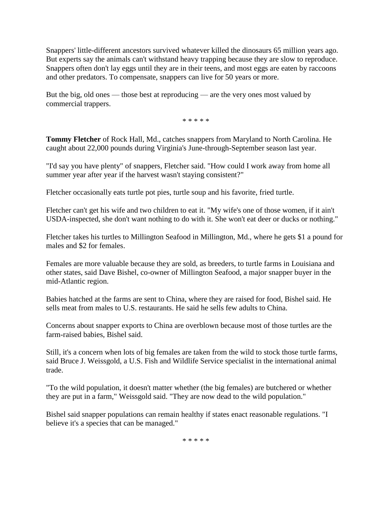Snappers' little-different ancestors survived whatever killed the dinosaurs 65 million years ago. But experts say the animals can't withstand heavy trapping because they are slow to reproduce. Snappers often don't lay eggs until they are in their teens, and most eggs are eaten by raccoons and other predators. To compensate, snappers can live for 50 years or more.

But the big, old ones — those best at reproducing — are the very ones most valued by commercial trappers.

\* \* \* \* \*

**Tommy Fletcher** of Rock Hall, Md., catches snappers from Maryland to North Carolina. He caught about 22,000 pounds during Virginia's June-through-September season last year.

"I'd say you have plenty" of snappers, Fletcher said. "How could I work away from home all summer year after year if the harvest wasn't staying consistent?"

Fletcher occasionally eats turtle pot pies, turtle soup and his favorite, fried turtle.

Fletcher can't get his wife and two children to eat it. "My wife's one of those women, if it ain't USDA-inspected, she don't want nothing to do with it. She won't eat deer or ducks or nothing."

Fletcher takes his turtles to Millington Seafood in Millington, Md., where he gets \$1 a pound for males and \$2 for females.

Females are more valuable because they are sold, as breeders, to turtle farms in Louisiana and other states, said Dave Bishel, co-owner of Millington Seafood, a major snapper buyer in the mid-Atlantic region.

Babies hatched at the farms are sent to China, where they are raised for food, Bishel said. He sells meat from males to U.S. restaurants. He said he sells few adults to China.

Concerns about snapper exports to China are overblown because most of those turtles are the farm-raised babies, Bishel said.

Still, it's a concern when lots of big females are taken from the wild to stock those turtle farms, said Bruce J. Weissgold, a U.S. Fish and Wildlife Service specialist in the international animal trade.

"To the wild population, it doesn't matter whether (the big females) are butchered or whether they are put in a farm," Weissgold said. "They are now dead to the wild population."

Bishel said snapper populations can remain healthy if states enact reasonable regulations. "I believe it's a species that can be managed."

\* \* \* \* \*